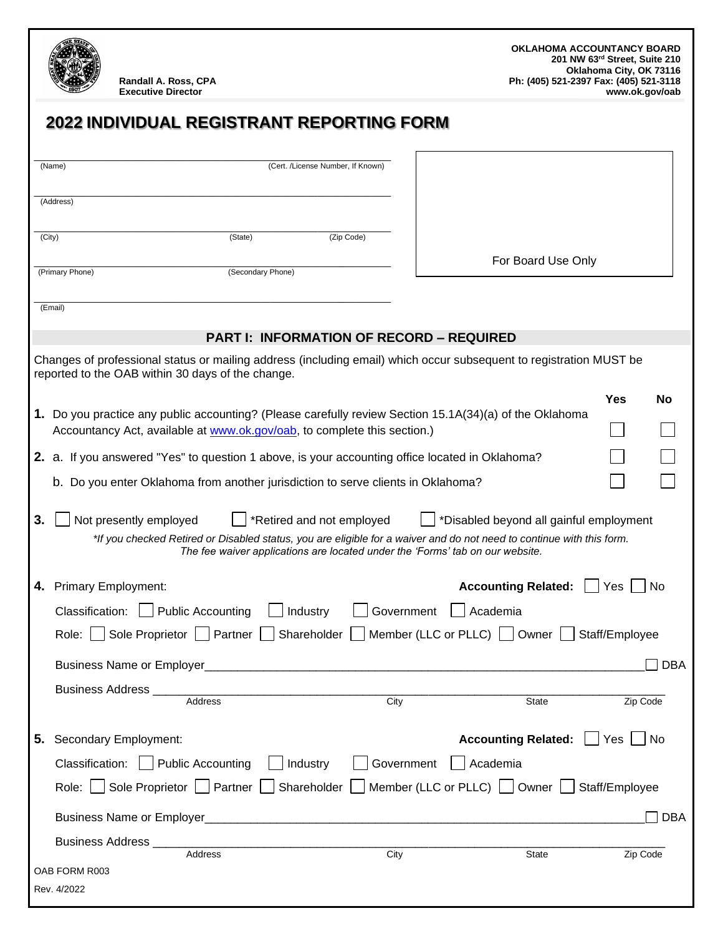OAB FORM R003  **2022 INDIVIDUAL REGISTRANT REPORTING FORM**  $\_$  , and the set of the set of the set of the set of the set of the set of the set of the set of the set of the set of the set of the set of the set of the set of the set of the set of the set of the set of the set of th (Name) (Cert. /License Number, If Known)  $\_$  , and the set of the set of the set of the set of the set of the set of the set of the set of the set of the set of the set of the set of the set of the set of the set of the set of the set of the set of the set of th (Address)  $\_$  , and the set of the set of the set of the set of the set of the set of the set of the set of the set of the set of the set of the set of the set of the set of the set of the set of the set of the set of the set of th (City) (State) (Zip Code)  $\_$  , and the set of the set of the set of the set of the set of the set of the set of the set of the set of the set of the set of the set of the set of the set of the set of the set of the set of the set of the set of th (Primary Phone) (Secondary Phone)  $\_$  , and the set of the set of the set of the set of the set of the set of the set of the set of the set of the set of the set of the set of the set of the set of the set of the set of the set of the set of the set of th (Email) **PART I: INFORMATION OF RECORD – REQUIRED** Changes of professional status or mailing address (including email) which occur subsequent to registration MUST be reported to the OAB within 30 days of the change. **Yes No 1.** Do you practice any public accounting? (Please carefully review Section 15.1A(34)(a) of the Oklahoma Accountancy Act, available at [www.ok.gov/oab,](http://www.ok.gov/oab) to complete this section.) **2.** a. If you answered "Yes" to question 1 above, is your accounting office located in Oklahoma? b. Do you enter Oklahoma from another jurisdiction to serve clients in Oklahoma? **3.** Not presently employed **F** \*Retired and not employed  $\Box$  \*Disabled beyond all gainful employment *\*If you checked Retired or Disabled status, you are eligible for a waiver and do not need to continue with this form. The fee waiver applications are located under the 'Forms' tab on our website.* **4.** Primary Employment: **Accounting Related:**  $\bigcap$  Yes  $\bigcap$  No Classification: Public Accounting Industry Government Academia Role:  $\Box$  Sole Proprietor  $\Box$  Partner  $\Box$  Shareholder  $\Box$  Member (LLC or PLLC)  $\Box$  Owner  $\Box$  Staff/Employee Business Name or Employer  $\Box$  DBA Business Address \_\_\_\_\_\_\_\_\_\_\_\_\_\_\_\_\_\_\_\_\_\_\_\_\_\_\_\_\_\_\_\_\_\_\_\_\_\_\_\_\_\_\_\_\_\_\_\_\_\_\_\_\_\_\_\_\_\_\_\_\_\_\_\_\_\_\_\_\_\_\_\_\_\_\_\_\_\_ Address and City Communication City Communication City State Zip Code **5.** Secondary Employment: **Accounting Related:**  $\Box$  Yes  $\Box$  No  $\Box$ Classification: Public Accounting Industry Government Academia Role:  $\Box$  Sole Proprietor  $\Box$  Partner  $\Box$  Shareholder  $\Box$  Member (LLC or PLLC)  $\Box$  Owner  $\Box$  Staff/Employee Business Name or Employer  $\Box$ Business Address \_\_\_\_\_\_\_\_\_\_\_\_\_\_\_\_\_\_\_\_\_\_\_\_\_\_\_\_\_\_\_\_\_\_\_\_\_\_\_\_\_\_\_\_\_\_\_\_\_\_\_\_\_\_\_\_\_\_\_\_\_\_\_\_\_\_\_\_\_\_\_\_\_\_\_\_\_\_ Address and City Communication City Communication City State Zip Code **Randall A. Ross, CPA Executive Director OKLAHOMA ACCOUNTANCY BOARD 201 NW 63rd Street, Suite 210 Oklahoma City, OK 73116 Ph: (405) 521-2397 Fax: (405) 521-3118 www.ok.gov/oab** For Board Use Only

Rev. 4/2022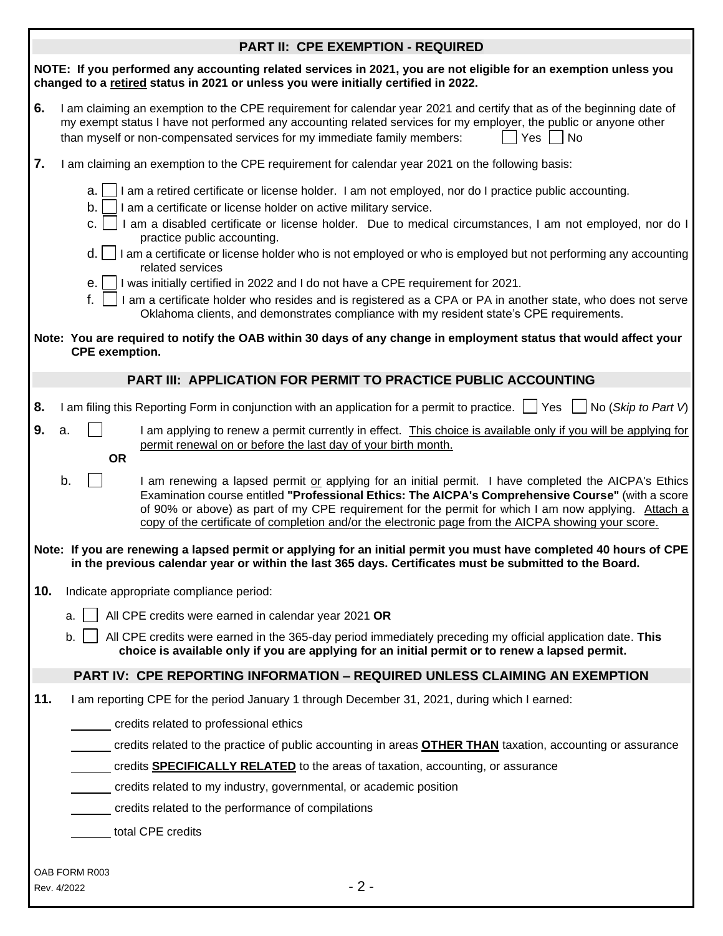|  | <b>PART II: CPE EXEMPTION - REQUIRED</b> |
|--|------------------------------------------|
|--|------------------------------------------|

|     | PARTII: CPE EXEMPTION - REQUIRED                                                                                                                                                                                                                                                                                                                                                                                                                                                                                                                                                                                                                                                                                                                                                                     |
|-----|------------------------------------------------------------------------------------------------------------------------------------------------------------------------------------------------------------------------------------------------------------------------------------------------------------------------------------------------------------------------------------------------------------------------------------------------------------------------------------------------------------------------------------------------------------------------------------------------------------------------------------------------------------------------------------------------------------------------------------------------------------------------------------------------------|
|     | NOTE: If you performed any accounting related services in 2021, you are not eligible for an exemption unless you<br>changed to a retired status in 2021 or unless you were initially certified in 2022.                                                                                                                                                                                                                                                                                                                                                                                                                                                                                                                                                                                              |
| 6.  | I am claiming an exemption to the CPE requirement for calendar year 2021 and certify that as of the beginning date of<br>my exempt status I have not performed any accounting related services for my employer, the public or anyone other<br>  Yes<br><b>No</b><br>than myself or non-compensated services for my immediate family members:                                                                                                                                                                                                                                                                                                                                                                                                                                                         |
| 7.  | I am claiming an exemption to the CPE requirement for calendar year 2021 on the following basis:                                                                                                                                                                                                                                                                                                                                                                                                                                                                                                                                                                                                                                                                                                     |
|     | I am a retired certificate or license holder. I am not employed, nor do I practice public accounting.<br>a.<br>b.<br>I am a certificate or license holder on active military service.<br>I am a disabled certificate or license holder. Due to medical circumstances, I am not employed, nor do I<br>c.<br>practice public accounting.<br>d.<br>$\Box$ I am a certificate or license holder who is not employed or who is employed but not performing any accounting<br>related services<br>I was initially certified in 2022 and I do not have a CPE requirement for 2021.<br>e. I<br>f.<br>I am a certificate holder who resides and is registered as a CPA or PA in another state, who does not serve<br>Oklahoma clients, and demonstrates compliance with my resident state's CPE requirements. |
|     | Note: You are required to notify the OAB within 30 days of any change in employment status that would affect your<br><b>CPE</b> exemption.                                                                                                                                                                                                                                                                                                                                                                                                                                                                                                                                                                                                                                                           |
|     | <b>PART III: APPLICATION FOR PERMIT TO PRACTICE PUBLIC ACCOUNTING</b>                                                                                                                                                                                                                                                                                                                                                                                                                                                                                                                                                                                                                                                                                                                                |
| 8.  | I am filing this Reporting Form in conjunction with an application for a permit to practice. $\Box$ Yes $\Box$ No (Skip to Part V)                                                                                                                                                                                                                                                                                                                                                                                                                                                                                                                                                                                                                                                                   |
| 9.  | a.<br>I am applying to renew a permit currently in effect. This choice is available only if you will be applying for<br>permit renewal on or before the last day of your birth month.<br><b>OR</b>                                                                                                                                                                                                                                                                                                                                                                                                                                                                                                                                                                                                   |
|     | b.<br>I am renewing a lapsed permit or applying for an initial permit. I have completed the AICPA's Ethics<br>Examination course entitled "Professional Ethics: The AICPA's Comprehensive Course" (with a score<br>of 90% or above) as part of my CPE requirement for the permit for which I am now applying. Attach a<br>copy of the certificate of completion and/or the electronic page from the AICPA showing your score.                                                                                                                                                                                                                                                                                                                                                                        |
|     | Note: If you are renewing a lapsed permit or applying for an initial permit you must have completed 40 hours of CPE<br>in the previous calendar year or within the last 365 days. Certificates must be submitted to the Board.                                                                                                                                                                                                                                                                                                                                                                                                                                                                                                                                                                       |
| 10. | Indicate appropriate compliance period:                                                                                                                                                                                                                                                                                                                                                                                                                                                                                                                                                                                                                                                                                                                                                              |
|     | All CPE credits were earned in calendar year 2021 OR<br>a.                                                                                                                                                                                                                                                                                                                                                                                                                                                                                                                                                                                                                                                                                                                                           |
|     | All CPE credits were earned in the 365-day period immediately preceding my official application date. This<br>b.<br>choice is available only if you are applying for an initial permit or to renew a lapsed permit.                                                                                                                                                                                                                                                                                                                                                                                                                                                                                                                                                                                  |
|     | <b>PART IV: CPE REPORTING INFORMATION - REQUIRED UNLESS CLAIMING AN EXEMPTION</b>                                                                                                                                                                                                                                                                                                                                                                                                                                                                                                                                                                                                                                                                                                                    |
| 11. | I am reporting CPE for the period January 1 through December 31, 2021, during which I earned:                                                                                                                                                                                                                                                                                                                                                                                                                                                                                                                                                                                                                                                                                                        |
|     | credits related to professional ethics                                                                                                                                                                                                                                                                                                                                                                                                                                                                                                                                                                                                                                                                                                                                                               |
|     | credits related to the practice of public accounting in areas <b>OTHER THAN</b> taxation, accounting or assurance                                                                                                                                                                                                                                                                                                                                                                                                                                                                                                                                                                                                                                                                                    |
|     | credits <b>SPECIFICALLY RELATED</b> to the areas of taxation, accounting, or assurance                                                                                                                                                                                                                                                                                                                                                                                                                                                                                                                                                                                                                                                                                                               |
|     | credits related to my industry, governmental, or academic position                                                                                                                                                                                                                                                                                                                                                                                                                                                                                                                                                                                                                                                                                                                                   |
|     | credits related to the performance of compilations                                                                                                                                                                                                                                                                                                                                                                                                                                                                                                                                                                                                                                                                                                                                                   |
|     | total CPE credits                                                                                                                                                                                                                                                                                                                                                                                                                                                                                                                                                                                                                                                                                                                                                                                    |

OAB FORM R003 Rev. 4/2022 - 2 -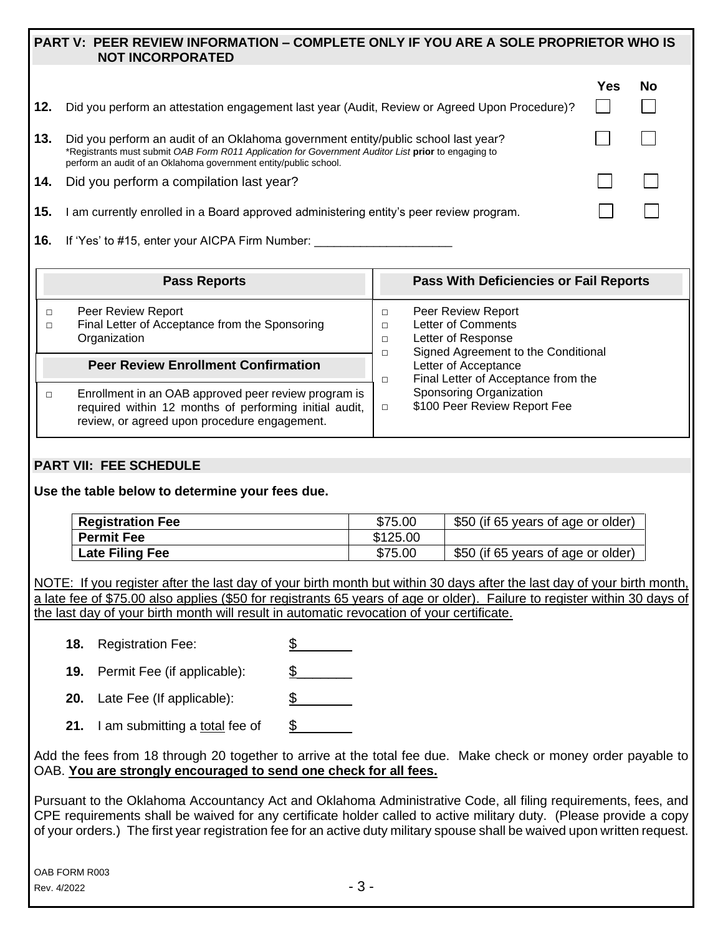## **PART V: PEER REVIEW INFORMATION – COMPLETE ONLY IF YOU ARE A SOLE PROPRIETOR WHO IS NOT INCORPORATED**

| 12. | Did you perform an attestation engagement last year (Audit, Review or Agreed Upon Procedure)?                                                                                                                                                                 | Yes | No |  |
|-----|---------------------------------------------------------------------------------------------------------------------------------------------------------------------------------------------------------------------------------------------------------------|-----|----|--|
| 13. | Did you perform an audit of an Oklahoma government entity/public school last year?<br>*Registrants must submit OAB Form R011 Application for Government Auditor List prior to engaging to<br>perform an audit of an Oklahoma government entity/public school. |     |    |  |
| 14. | Did you perform a compilation last year?                                                                                                                                                                                                                      |     |    |  |
| 15. | am currently enrolled in a Board approved administering entity's peer review program.                                                                                                                                                                         |     |    |  |
|     | <b>16.</b> If 'Yes' to #15, enter your AICPA Firm Number:                                                                                                                                                                                                     |     |    |  |

|              | <b>Pass Reports</b>                                                                                                                                            |                                                             | Pass With Deficiencies or Fail Reports                                                                |
|--------------|----------------------------------------------------------------------------------------------------------------------------------------------------------------|-------------------------------------------------------------|-------------------------------------------------------------------------------------------------------|
| Organization | Peer Review Report<br>Final Letter of Acceptance from the Sponsoring                                                                                           | п<br>п                                                      | Peer Review Report<br>Letter of Comments<br>Letter of Response<br>Signed Agreement to the Conditional |
|              | <b>Peer Review Enrollment Confirmation</b>                                                                                                                     | Letter of Acceptance<br>Final Letter of Acceptance from the |                                                                                                       |
|              | Enrollment in an OAB approved peer review program is<br>required within 12 months of performing initial audit,<br>review, or agreed upon procedure engagement. | □                                                           | Sponsoring Organization<br>\$100 Peer Review Report Fee                                               |

## **PART VII: FEE SCHEDULE**

**Use the table below to determine your fees due.**

| <b>Registration Fee</b> | \$75.00  | \$50 (if 65 years of age or older) |
|-------------------------|----------|------------------------------------|
| <b>Permit Fee</b>       | \$125.00 |                                    |
| <b>Late Filing Fee</b>  | \$75.00  | \$50 (if 65 years of age or older) |

NOTE: If you register after the last day of your birth month but within 30 days after the last day of your birth month, a late fee of \$75.00 also applies (\$50 for registrants 65 years of age or older). Failure to register within 30 days of the last day of your birth month will result in automatic revocation of your certificate.

**18.** Registration Fee: \$

**19.** Permit Fee (if applicable): \$\_\_\_\_\_\_\_

- **20.** Late Fee (If applicable): \$\_\_\_\_\_\_\_
- **21.** I am submitting a total fee of  $\$\$

Add the fees from 18 through 20 together to arrive at the total fee due. Make check or money order payable to OAB. **You are strongly encouraged to send one check for all fees.**

Pursuant to the Oklahoma Accountancy Act and Oklahoma Administrative Code, all filing requirements, fees, and CPE requirements shall be waived for any certificate holder called to active military duty. (Please provide a copy of your orders.) The first year registration fee for an active duty military spouse shall be waived upon written request.